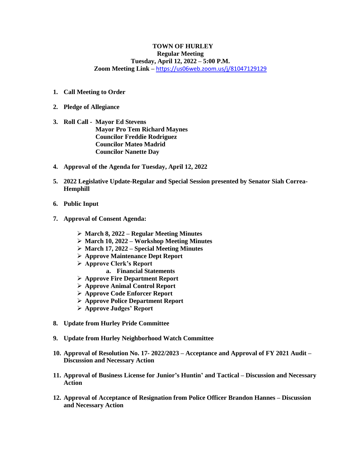## **TOWN OF HURLEY Regular Meeting Tuesday, April 12, 2022 – 5:00 P.M. Zoom Meeting Link –** <https://us06web.zoom.us/j/81047129129>

- **1. Call Meeting to Order**
- **2. Pledge of Allegiance**
- **3. Roll Call - Mayor Ed Stevens Mayor Pro Tem Richard Maynes Councilor Freddie Rodriguez Councilor Mateo Madrid Councilor Nanette Day**
- **4. Approval of the Agenda for Tuesday, April 12, 2022**
- **5. 2022 Legislative Update-Regular and Special Session presented by Senator Siah Correa-Hemphill**
- **6. Public Input**
- **7. Approval of Consent Agenda:** 
	- ➢ **March 8, 2022 – Regular Meeting Minutes**
	- ➢ **March 10, 2022 – Workshop Meeting Minutes**
	- ➢ **March 17, 2022 – Special Meeting Minutes**
	- ➢ **Approve Maintenance Dept Report**
	- ➢ **Approve Clerk's Report**
		- **a. Financial Statements**
	- ➢ **Approve Fire Department Report**
	- ➢ **Approve Animal Control Report**
	- ➢ **Approve Code Enforcer Report**
	- ➢ **Approve Police Department Report**
	- ➢ **Approve Judges' Report**
- **8. Update from Hurley Pride Committee**
- **9. Update from Hurley Neighborhood Watch Committee**
- **10. Approval of Resolution No. 17- 2022/2023 – Acceptance and Approval of FY 2021 Audit – Discussion and Necessary Action**
- **11. Approval of Business License for Junior's Huntin' and Tactical – Discussion and Necessary Action**
- **12. Approval of Acceptance of Resignation from Police Officer Brandon Hannes – Discussion and Necessary Action**